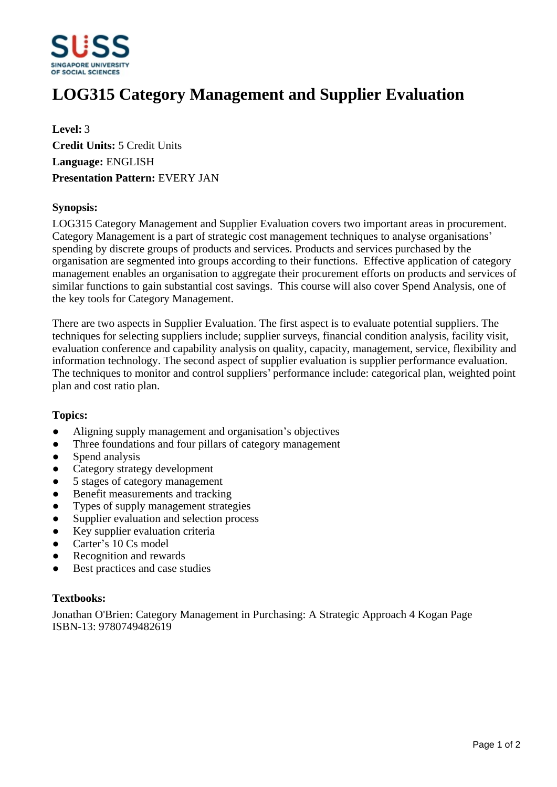

# **LOG315 Category Management and Supplier Evaluation**

**Level:** 3 **Credit Units:** 5 Credit Units **Language:** ENGLISH **Presentation Pattern:** EVERY JAN

### **Synopsis:**

LOG315 Category Management and Supplier Evaluation covers two important areas in procurement. Category Management is a part of strategic cost management techniques to analyse organisations' spending by discrete groups of products and services. Products and services purchased by the organisation are segmented into groups according to their functions. Effective application of category management enables an organisation to aggregate their procurement efforts on products and services of similar functions to gain substantial cost savings. This course will also cover Spend Analysis, one of the key tools for Category Management.

There are two aspects in Supplier Evaluation. The first aspect is to evaluate potential suppliers. The techniques for selecting suppliers include; supplier surveys, financial condition analysis, facility visit, evaluation conference and capability analysis on quality, capacity, management, service, flexibility and information technology. The second aspect of supplier evaluation is supplier performance evaluation. The techniques to monitor and control suppliers' performance include: categorical plan, weighted point plan and cost ratio plan.

#### **Topics:**

- Aligning supply management and organisation's objectives
- Three foundations and four pillars of category management
- Spend analysis
- Category strategy development
- 5 stages of category management
- Benefit measurements and tracking
- ƔTypes of supply management strategies
- Supplier evaluation and selection process
- Key supplier evaluation criteria
- Carter's 10 Cs model
- ƔRecognition and rewards
- Best practices and case studies

#### **Textbooks:**

Jonathan O'Brien: Category Management in Purchasing: A Strategic Approach 4 Kogan Page ISBN-13: 9780749482619